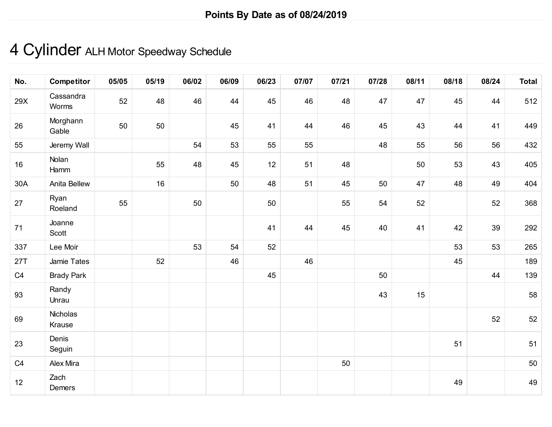# 4 Cylinder ALH Motor Speedway Schedule

| No.        | <b>Competitor</b>  | 05/05 | 05/19 | 06/02 | 06/09 | 06/23 | 07/07 | 07/21 | 07/28 | 08/11 | 08/18 | 08/24 | <b>Total</b> |
|------------|--------------------|-------|-------|-------|-------|-------|-------|-------|-------|-------|-------|-------|--------------|
| 29X        | Cassandra<br>Worms | 52    | 48    | 46    | 44    | 45    | 46    | 48    | 47    | 47    | 45    | 44    | 512          |
| 26         | Morghann<br>Gable  | 50    | 50    |       | 45    | 41    | 44    | 46    | 45    | 43    | 44    | 41    | 449          |
| 55         | Jeremy Wall        |       |       | 54    | 53    | 55    | 55    |       | 48    | 55    | 56    | 56    | 432          |
| 16         | Nolan<br>Hamm      |       | 55    | 48    | 45    | 12    | 51    | 48    |       | 50    | 53    | 43    | 405          |
| 30A        | Anita Bellew       |       | 16    |       | 50    | 48    | 51    | 45    | 50    | 47    | 48    | 49    | 404          |
| 27         | Ryan<br>Roeland    | 55    |       | 50    |       | 50    |       | 55    | 54    | 52    |       | 52    | 368          |
| 71         | Joanne<br>Scott    |       |       |       |       | 41    | 44    | 45    | 40    | 41    | 42    | 39    | 292          |
| 337        | Lee Moir           |       |       | 53    | 54    | 52    |       |       |       |       | 53    | 53    | 265          |
| <b>27T</b> | Jamie Tates        |       | 52    |       | 46    |       | 46    |       |       |       | 45    |       | 189          |
| C4         | <b>Brady Park</b>  |       |       |       |       | 45    |       |       | 50    |       |       | 44    | 139          |
| 93         | Randy<br>Unrau     |       |       |       |       |       |       |       | 43    | 15    |       |       | 58           |
| 69         | Nicholas<br>Krause |       |       |       |       |       |       |       |       |       |       | 52    | 52           |
| 23         | Denis<br>Seguin    |       |       |       |       |       |       |       |       |       | 51    |       | 51           |
| C4         | Alex Mira          |       |       |       |       |       |       | 50    |       |       |       |       | 50           |
| 12         | Zach<br>Demers     |       |       |       |       |       |       |       |       |       | 49    |       | 49           |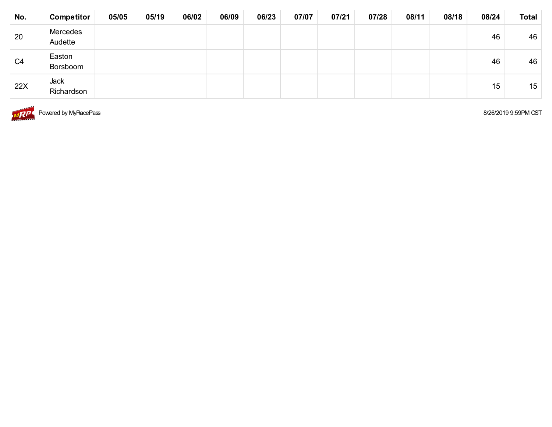| No.            | <b>Competitor</b>         | 05/05 | 05/19 | 06/02 | 06/09 | 06/23 | 07/07 | 07/21 | 07/28 | 08/11 | 08/18 | 08/24 | <b>Total</b> |
|----------------|---------------------------|-------|-------|-------|-------|-------|-------|-------|-------|-------|-------|-------|--------------|
| 20             | Mercedes<br>Audette       |       |       |       |       |       |       |       |       |       |       | 46    | 46           |
| C <sub>4</sub> | Easton<br>Borsboom        |       |       |       |       |       |       |       |       |       |       | 46    | 46           |
| 22X            | <b>Jack</b><br>Richardson |       |       |       |       |       |       |       |       |       |       | 15    | 15           |



MRP Powered by MyRacePass

8/26/2019 9:59PM CST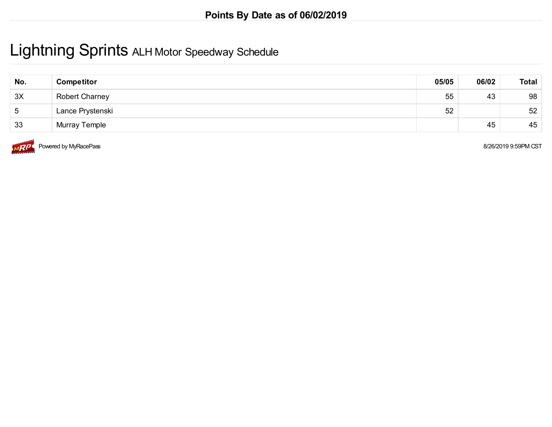### Lightning Sprints ALH Motor Speedway Schedule

| No.         | <b>Competitor</b>     | 05/05 | 06/02 | Total |
|-------------|-----------------------|-------|-------|-------|
| 3X          | <b>Robert Charney</b> | 55    | 43    | 98    |
| $\mathbf b$ | Lance Prystenski      | 52    |       | 52    |
| 33          | Murray Temple         |       | 45    | 45    |



Powered by MyRacePass 8/26/2019 9:59PM CST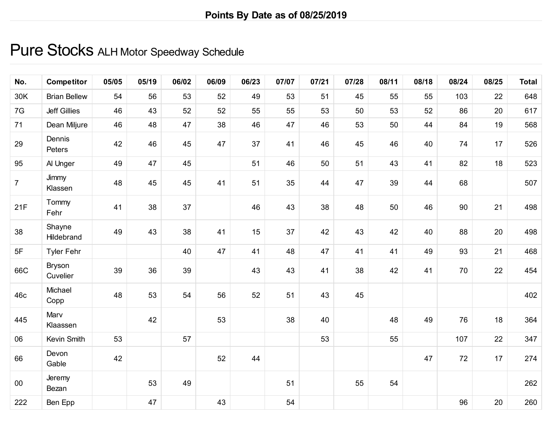## Pure Stocks ALH Motor Speedway Schedule

| No.            | <b>Competitor</b>    | 05/05 | 05/19 | 06/02 | 06/09 | 06/23 | 07/07 | 07/21 | 07/28 | 08/11 | 08/18 | 08/24 | 08/25 | <b>Total</b> |
|----------------|----------------------|-------|-------|-------|-------|-------|-------|-------|-------|-------|-------|-------|-------|--------------|
| 30K            | <b>Brian Bellew</b>  | 54    | 56    | 53    | 52    | 49    | 53    | 51    | 45    | 55    | 55    | 103   | 22    | 648          |
| 7G             | <b>Jeff Gillies</b>  | 46    | 43    | 52    | 52    | 55    | 55    | 53    | 50    | 53    | 52    | 86    | 20    | 617          |
| 71             | Dean Miljure         | 46    | 48    | 47    | 38    | 46    | 47    | 46    | 53    | 50    | 44    | 84    | 19    | 568          |
| 29             | Dennis<br>Peters     | 42    | 46    | 45    | 47    | 37    | 41    | 46    | 45    | 46    | 40    | 74    | 17    | 526          |
| 95             | Al Unger             | 49    | 47    | 45    |       | 51    | 46    | 50    | 51    | 43    | 41    | 82    | 18    | 523          |
| $\overline{7}$ | Jimmy<br>Klassen     | 48    | 45    | 45    | 41    | 51    | 35    | 44    | 47    | 39    | 44    | 68    |       | 507          |
| 21F            | Tommy<br>Fehr        | 41    | 38    | 37    |       | 46    | 43    | 38    | 48    | 50    | 46    | 90    | 21    | 498          |
| 38             | Shayne<br>Hildebrand | 49    | 43    | 38    | 41    | 15    | 37    | 42    | 43    | 42    | 40    | 88    | 20    | 498          |
| 5F             | <b>Tyler Fehr</b>    |       |       | 40    | 47    | 41    | 48    | 47    | 41    | 41    | 49    | 93    | 21    | 468          |
| 66C            | Bryson<br>Cuvelier   | 39    | 36    | 39    |       | 43    | 43    | 41    | 38    | 42    | 41    | 70    | 22    | 454          |
| 46c            | Michael<br>Copp      | 48    | 53    | 54    | 56    | 52    | 51    | 43    | 45    |       |       |       |       | 402          |
| 445            | Marv<br>Klaassen     |       | 42    |       | 53    |       | 38    | 40    |       | 48    | 49    | 76    | 18    | 364          |
| 06             | Kevin Smith          | 53    |       | 57    |       |       |       | 53    |       | 55    |       | 107   | 22    | 347          |
| 66             | Devon<br>Gable       | 42    |       |       | 52    | 44    |       |       |       |       | 47    | 72    | 17    | 274          |
| 00             | Jeremy<br>Bezan      |       | 53    | 49    |       |       | 51    |       | 55    | 54    |       |       |       | 262          |
| 222            | Ben Epp              |       | 47    |       | 43    |       | 54    |       |       |       |       | 96    | 20    | 260          |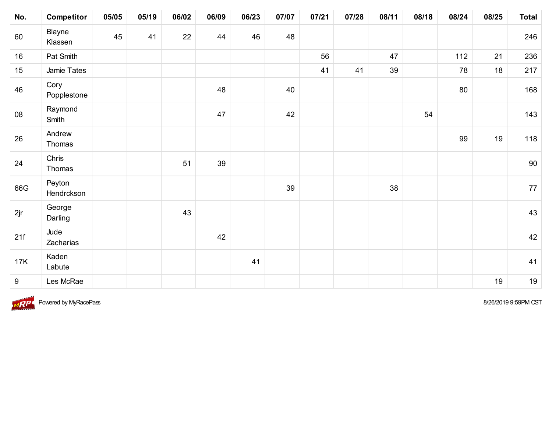| No.        | <b>Competitor</b>    | 05/05 | 05/19 | 06/02 | 06/09 | 06/23 | 07/07 | 07/21 | 07/28 | 08/11 | 08/18 | 08/24 | 08/25 | <b>Total</b> |
|------------|----------------------|-------|-------|-------|-------|-------|-------|-------|-------|-------|-------|-------|-------|--------------|
| 60         | Blayne<br>Klassen    | 45    | 41    | 22    | 44    | 46    | 48    |       |       |       |       |       |       | 246          |
| 16         | Pat Smith            |       |       |       |       |       |       | 56    |       | 47    |       | 112   | 21    | 236          |
| 15         | Jamie Tates          |       |       |       |       |       |       | 41    | 41    | 39    |       | 78    | 18    | 217          |
| 46         | Cory<br>Popplestone  |       |       |       | 48    |       | 40    |       |       |       |       | 80    |       | 168          |
| 08         | Raymond<br>Smith     |       |       |       | 47    |       | 42    |       |       |       | 54    |       |       | 143          |
| 26         | Andrew<br>Thomas     |       |       |       |       |       |       |       |       |       |       | 99    | 19    | 118          |
| 24         | Chris<br>Thomas      |       |       | 51    | 39    |       |       |       |       |       |       |       |       | 90           |
| 66G        | Peyton<br>Hendrckson |       |       |       |       |       | 39    |       |       | 38    |       |       |       | $77\,$       |
| 2jr        | George<br>Darling    |       |       | 43    |       |       |       |       |       |       |       |       |       | 43           |
| 21f        | Jude<br>Zacharias    |       |       |       | 42    |       |       |       |       |       |       |       |       | 42           |
| <b>17K</b> | Kaden<br>Labute      |       |       |       |       | 41    |       |       |       |       |       |       |       | 41           |
| 9          | Les McRae            |       |       |       |       |       |       |       |       |       |       |       | 19    | 19           |



**MRP** Powered by MyRacePass

8/26/2019 9:59PM CST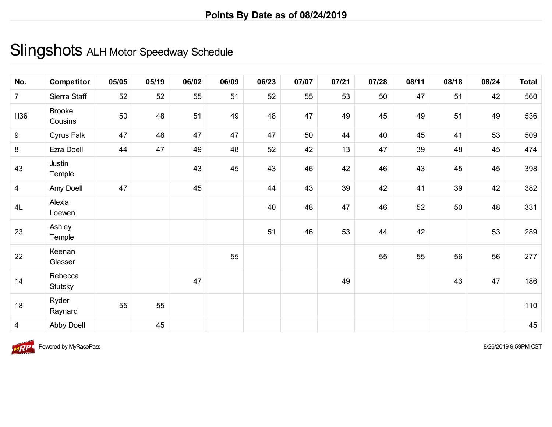## Slingshots ALH Motor Speedway Schedule

| No.            | <b>Competitor</b>         | 05/05 | 05/19 | 06/02 | 06/09 | 06/23 | 07/07 | 07/21 | 07/28 | 08/11 | 08/18 | 08/24 | <b>Total</b> |
|----------------|---------------------------|-------|-------|-------|-------|-------|-------|-------|-------|-------|-------|-------|--------------|
| $\overline{7}$ | Sierra Staff              | 52    | 52    | 55    | 51    | 52    | 55    | 53    | 50    | 47    | 51    | 42    | 560          |
| II36           | <b>Brooke</b><br>Cousins  | 50    | 48    | 51    | 49    | 48    | 47    | 49    | 45    | 49    | 51    | 49    | 536          |
| 9              | Cyrus Falk                | 47    | 48    | 47    | 47    | 47    | 50    | 44    | 40    | 45    | 41    | 53    | 509          |
| 8              | Ezra Doell                | 44    | 47    | 49    | 48    | 52    | 42    | 13    | 47    | 39    | 48    | 45    | 474          |
| 43             | Justin<br>Temple          |       |       | 43    | 45    | 43    | 46    | 42    | 46    | 43    | 45    | 45    | 398          |
| $\overline{4}$ | Amy Doell                 | 47    |       | 45    |       | 44    | 43    | 39    | 42    | 41    | 39    | 42    | 382          |
| 4L             | Alexia<br>Loewen          |       |       |       |       | 40    | 48    | 47    | 46    | 52    | 50    | 48    | 331          |
| 23             | Ashley<br>Temple          |       |       |       |       | 51    | 46    | 53    | 44    | 42    |       | 53    | 289          |
| 22             | Keenan<br>Glasser         |       |       |       | 55    |       |       |       | 55    | 55    | 56    | 56    | 277          |
| 14             | Rebecca<br><b>Stutsky</b> |       |       | 47    |       |       |       | 49    |       |       | 43    | 47    | 186          |
| 18             | Ryder<br>Raynard          | 55    | 55    |       |       |       |       |       |       |       |       |       | 110          |
| $\overline{4}$ | Abby Doell                |       | 45    |       |       |       |       |       |       |       |       |       | 45           |



Powered by MyRacePass 8/26/2019 9:59PM CST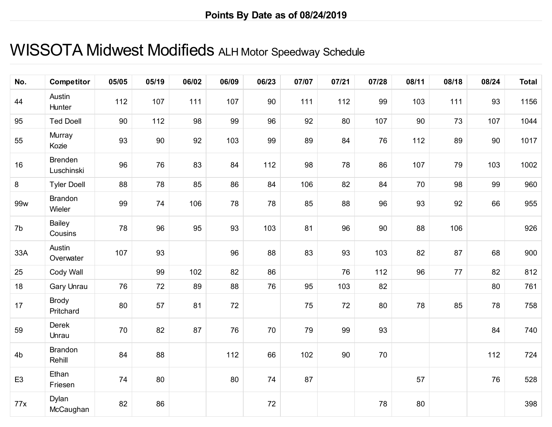## WISSOTA Midwest Modifieds ALH Motor Speedway Schedule

| No.            | <b>Competitor</b>            | 05/05 | 05/19 | 06/02 | 06/09 | 06/23 | 07/07 | 07/21 | 07/28 | 08/11 | 08/18 | 08/24 | <b>Total</b> |
|----------------|------------------------------|-------|-------|-------|-------|-------|-------|-------|-------|-------|-------|-------|--------------|
| 44             | Austin<br>Hunter             | 112   | 107   | 111   | 107   | 90    | 111   | 112   | 99    | 103   | 111   | 93    | 1156         |
| 95             | <b>Ted Doell</b>             | 90    | 112   | 98    | 99    | 96    | 92    | 80    | 107   | 90    | 73    | 107   | 1044         |
| 55             | Murray<br>Kozie              | 93    | 90    | 92    | 103   | 99    | 89    | 84    | 76    | 112   | 89    | 90    | 1017         |
| 16             | <b>Brenden</b><br>Luschinski | 96    | 76    | 83    | 84    | 112   | 98    | 78    | 86    | 107   | 79    | 103   | 1002         |
| 8              | <b>Tyler Doell</b>           | 88    | 78    | 85    | 86    | 84    | 106   | 82    | 84    | 70    | 98    | 99    | 960          |
| 99w            | <b>Brandon</b><br>Wieler     | 99    | 74    | 106   | 78    | 78    | 85    | 88    | 96    | 93    | 92    | 66    | 955          |
| 7b             | Bailey<br>Cousins            | 78    | 96    | 95    | 93    | 103   | 81    | 96    | 90    | 88    | 106   |       | 926          |
| 33A            | Austin<br>Overwater          | 107   | 93    |       | 96    | 88    | 83    | 93    | 103   | 82    | 87    | 68    | 900          |
| 25             | Cody Wall                    |       | 99    | 102   | 82    | 86    |       | 76    | 112   | 96    | 77    | 82    | 812          |
| 18             | Gary Unrau                   | 76    | 72    | 89    | 88    | 76    | 95    | 103   | 82    |       |       | 80    | 761          |
| 17             | <b>Brody</b><br>Pritchard    | 80    | 57    | 81    | 72    |       | 75    | 72    | 80    | 78    | 85    | 78    | 758          |
| 59             | Derek<br>Unrau               | 70    | 82    | 87    | 76    | 70    | 79    | 99    | 93    |       |       | 84    | 740          |
| 4b             | <b>Brandon</b><br>Rehill     | 84    | 88    |       | 112   | 66    | 102   | 90    | 70    |       |       | 112   | 724          |
| E <sub>3</sub> | Ethan<br>Friesen             | 74    | 80    |       | 80    | 74    | 87    |       |       | 57    |       | 76    | 528          |
| 77x            | Dylan<br>McCaughan           | 82    | 86    |       |       | 72    |       |       | 78    | 80    |       |       | 398          |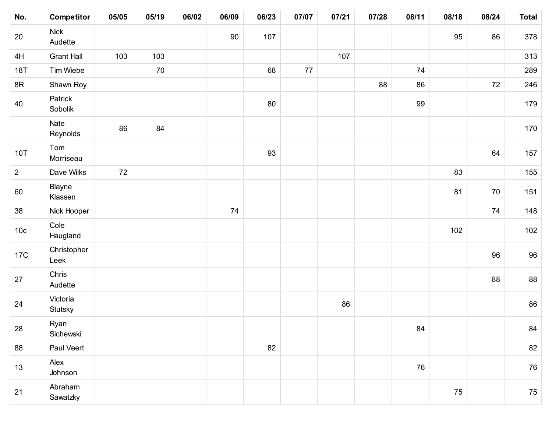| No.             | <b>Competitor</b>      | 05/05 | 05/19 | 06/02 | 06/09 | 06/23 | 07/07  | 07/21 | 07/28 | 08/11 | 08/18 | 08/24  | <b>Total</b> |
|-----------------|------------------------|-------|-------|-------|-------|-------|--------|-------|-------|-------|-------|--------|--------------|
| 20              | <b>Nick</b><br>Audette |       |       |       | 90    | 107   |        |       |       |       | 95    | 86     | 378          |
| 4H              | <b>Grant Hall</b>      | 103   | 103   |       |       |       |        | 107   |       |       |       |        | 313          |
| <b>18T</b>      | Tim Wiebe              |       | 70    |       |       | 68    | $77\,$ |       |       | 74    |       |        | 289          |
| 8R              | Shawn Roy              |       |       |       |       |       |        |       | 88    | 86    |       | $72\,$ | 246          |
| 40              | Patrick<br>Sobolik     |       |       |       |       | 80    |        |       |       | 99    |       |        | 179          |
|                 | Nate<br>Reynolds       | 86    | 84    |       |       |       |        |       |       |       |       |        | 170          |
| 10T             | Tom<br>Morriseau       |       |       |       |       | 93    |        |       |       |       |       | 64     | 157          |
| $\overline{2}$  | Dave Wilks             | 72    |       |       |       |       |        |       |       |       | 83    |        | 155          |
| 60              | Blayne<br>Klassen      |       |       |       |       |       |        |       |       |       | 81    | $70\,$ | 151          |
| 38              | Nick Hooper            |       |       |       | 74    |       |        |       |       |       |       | 74     | 148          |
| 10 <sub>c</sub> | Cole<br>Haugland       |       |       |       |       |       |        |       |       |       | 102   |        | 102          |
| 17C             | Christopher<br>Leek    |       |       |       |       |       |        |       |       |       |       | 96     | 96           |
| 27              | Chris<br>Audette       |       |       |       |       |       |        |       |       |       |       | 88     | 88           |
| 24              | Victoria<br>Stutsky    |       |       |       |       |       |        | 86    |       |       |       |        | 86           |
| $28\,$          | Ryan<br>Sichewski      |       |       |       |       |       |        |       |       | 84    |       |        | 84           |
| 88              | Paul Veert             |       |       |       |       | 82    |        |       |       |       |       |        | 82           |
| 13              | Alex<br>Johnson        |       |       |       |       |       |        |       |       | 76    |       |        | 76           |
| 21              | Abraham<br>Sawatzky    |       |       |       |       |       |        |       |       |       | 75    |        | 75           |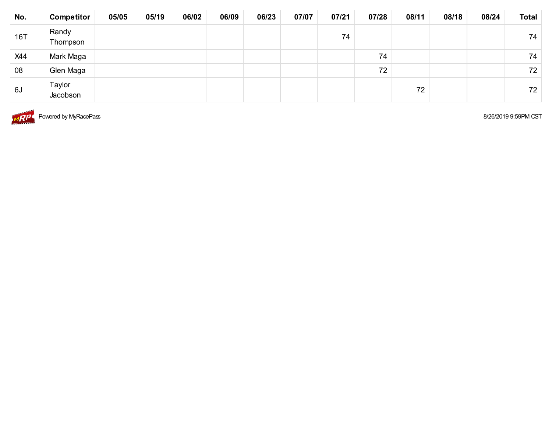| No.        | <b>Competitor</b>  | 05/05 | 05/19 | 06/02 | 06/09 | 06/23 | 07/07 | 07/21 | 07/28 | 08/11 | 08/18 | 08/24 | <b>Total</b> |
|------------|--------------------|-------|-------|-------|-------|-------|-------|-------|-------|-------|-------|-------|--------------|
| <b>16T</b> | Randy<br>Thompson  |       |       |       |       |       |       | 74    |       |       |       |       | 74           |
| X44        | Mark Maga          |       |       |       |       |       |       |       | 74    |       |       |       | 74           |
| 08         | Glen Maga          |       |       |       |       |       |       |       | 72    |       |       |       | 72           |
| 6J         | Taylor<br>Jacobson |       |       |       |       |       |       |       |       | 72    |       |       | 72           |



**MRP** Powered by MyRacePass

8/26/2019 9:59PM CST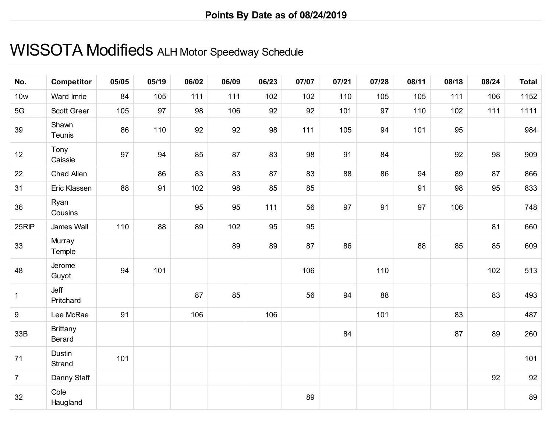## WISSOTA Modifieds ALH Motor Speedway Schedule

| No.            | <b>Competitor</b>         | 05/05 | 05/19 | 06/02 | 06/09 | 06/23 | 07/07 | 07/21 | 07/28 | 08/11 | 08/18 | 08/24 | <b>Total</b> |
|----------------|---------------------------|-------|-------|-------|-------|-------|-------|-------|-------|-------|-------|-------|--------------|
| <b>10w</b>     | Ward Imrie                | 84    | 105   | 111   | 111   | 102   | 102   | 110   | 105   | 105   | 111   | 106   | 1152         |
| 5G             | Scott Greer               | 105   | 97    | 98    | 106   | 92    | 92    | 101   | 97    | 110   | 102   | 111   | 1111         |
| 39             | Shawn<br>Teunis           | 86    | 110   | 92    | 92    | 98    | 111   | 105   | 94    | 101   | 95    |       | 984          |
| 12             | Tony<br>Caissie           | 97    | 94    | 85    | 87    | 83    | 98    | 91    | 84    |       | 92    | 98    | 909          |
| 22             | Chad Allen                |       | 86    | 83    | 83    | 87    | 83    | 88    | 86    | 94    | 89    | 87    | 866          |
| 31             | Eric Klassen              | 88    | 91    | 102   | 98    | 85    | 85    |       |       | 91    | 98    | 95    | 833          |
| 36             | Ryan<br>Cousins           |       |       | 95    | 95    | 111   | 56    | 97    | 91    | 97    | 106   |       | 748          |
| 25RIP          | James Wall                | 110   | 88    | 89    | 102   | 95    | 95    |       |       |       |       | 81    | 660          |
| 33             | Murray<br>Temple          |       |       |       | 89    | 89    | 87    | 86    |       | 88    | 85    | 85    | 609          |
| 48             | Jerome<br>Guyot           | 94    | 101   |       |       |       | 106   |       | 110   |       |       | 102   | 513          |
| $\mathbf{1}$   | Jeff<br>Pritchard         |       |       | 87    | 85    |       | 56    | 94    | 88    |       |       | 83    | 493          |
| 9              | Lee McRae                 | 91    |       | 106   |       | 106   |       |       | 101   |       | 83    |       | 487          |
| 33B            | <b>Brittany</b><br>Berard |       |       |       |       |       |       | 84    |       |       | 87    | 89    | 260          |
| $71$           | Dustin<br>Strand          | 101   |       |       |       |       |       |       |       |       |       |       | 101          |
| $\overline{7}$ | Danny Staff               |       |       |       |       |       |       |       |       |       |       | 92    | 92           |
| 32             | Cole<br>Haugland          |       |       |       |       |       | 89    |       |       |       |       |       | 89           |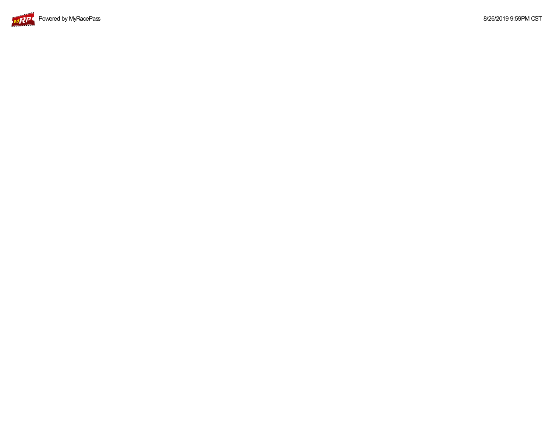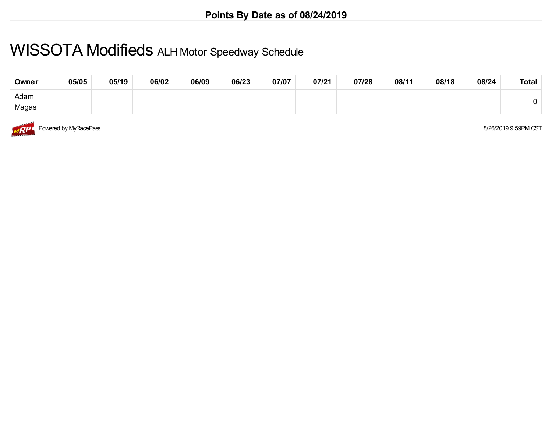### WISSOTA Modifieds ALH Motor Speedway Schedule

| Owner | 05/05 | 05/19 | 06/02 | 06/09 | 06/23 | 07/07 | 07/21 | 07/28 | 08/11 | 08/18 | 08/24 | <b>Total</b> |
|-------|-------|-------|-------|-------|-------|-------|-------|-------|-------|-------|-------|--------------|
| Adam  |       |       |       |       |       |       |       |       |       |       |       |              |
| Magas |       |       |       |       |       |       |       |       |       |       |       |              |



Powered by MyRacePass 8/26/2019 9:59PM CST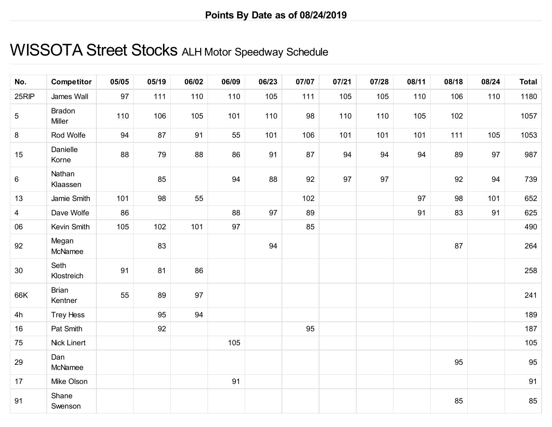# WISSOTA Street Stocks ALH Motor Speedway Schedule

| No.            | <b>Competitor</b>       | 05/05 | 05/19 | 06/02 | 06/09 | 06/23 | 07/07 | 07/21 | 07/28 | 08/11 | 08/18 | 08/24 | <b>Total</b> |
|----------------|-------------------------|-------|-------|-------|-------|-------|-------|-------|-------|-------|-------|-------|--------------|
| 25RIP          | James Wall              | 97    | 111   | 110   | 110   | 105   | 111   | 105   | 105   | 110   | 106   | 110   | 1180         |
| $\overline{5}$ | <b>Bradon</b><br>Miller | 110   | 106   | 105   | 101   | 110   | 98    | 110   | 110   | 105   | 102   |       | 1057         |
| $\bf 8$        | Rod Wolfe               | 94    | 87    | 91    | 55    | 101   | 106   | 101   | 101   | 101   | 111   | 105   | 1053         |
| 15             | Danielle<br>Korne       | 88    | 79    | 88    | 86    | 91    | 87    | 94    | 94    | 94    | 89    | 97    | 987          |
| $\,6\,$        | Nathan<br>Klaassen      |       | 85    |       | 94    | 88    | 92    | 97    | 97    |       | 92    | 94    | 739          |
| 13             | Jamie Smith             | 101   | 98    | 55    |       |       | 102   |       |       | 97    | 98    | 101   | 652          |
| $\overline{4}$ | Dave Wolfe              | 86    |       |       | 88    | 97    | 89    |       |       | 91    | 83    | 91    | 625          |
| 06             | Kevin Smith             | 105   | 102   | 101   | 97    |       | 85    |       |       |       |       |       | 490          |
| 92             | Megan<br>McNamee        |       | 83    |       |       | 94    |       |       |       |       | 87    |       | 264          |
| 30             | Seth<br>Klostreich      | 91    | 81    | 86    |       |       |       |       |       |       |       |       | 258          |
| 66K            | <b>Brian</b><br>Kentner | 55    | 89    | 97    |       |       |       |       |       |       |       |       | 241          |
| 4h             | Trey Hess               |       | 95    | 94    |       |       |       |       |       |       |       |       | 189          |
| 16             | Pat Smith               |       | 92    |       |       |       | 95    |       |       |       |       |       | 187          |
| 75             | <b>Nick Linert</b>      |       |       |       | 105   |       |       |       |       |       |       |       | 105          |
| 29             | Dan<br>McNamee          |       |       |       |       |       |       |       |       |       | 95    |       | 95           |
| 17             | Mike Olson              |       |       |       | 91    |       |       |       |       |       |       |       | 91           |
| 91             | Shane<br>Swenson        |       |       |       |       |       |       |       |       |       | 85    |       | 85           |